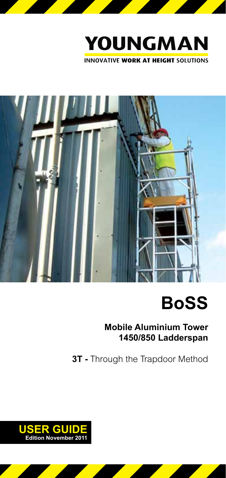



# **BoSS**

**Mobile Aluminium Tower 1450/850 Ladderspan**

**3T -** Through the Trapdoor Method

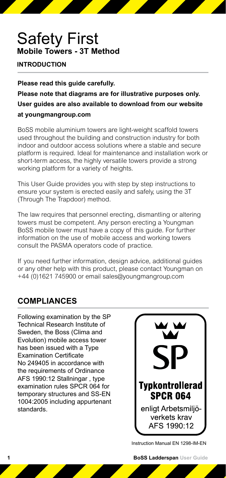## Safety First **Mobile Towers - 3T Method**

#### **INTRODUCTION**

**Please read this guide carefully. Please note that diagrams are for illustrative purposes only. User guides are also available to download from our website at youngmangroup.com**

BoSS mobile aluminium towers are light-weight scaffold towers used throughout the building and construction industry for both indoor and outdoor access solutions where a stable and secure platform is required. Ideal for maintenance and installation work or short-term access, the highly versatile towers provide a strong working platform for a variety of heights.

This User Guide provides you with step by step instructions to ensure your system is erected easily and safely, using the 3T (Through The Trapdoor) method.

The law requires that personnel erecting, dismantling or altering towers must be competent. Any person erecting a Youngman BoSS mobile tower must have a copy of this guide. For further information on the use of mobile access and working towers consult the PASMA operators code of practice.

If you need further information, design advice, additional guides or any other help with this product, please contact Youngman on +44 (0)1621 745900 or email sales@youngmangroup.com

#### **COMPLIANCES**

Following examination by the SP Technical Research Institute of Sweden, the Boss (Clima and Evolution) mobile access tower has been issued with a Type Examination Certificate No 249405 in accordance with the requirements of Ordinance AFS 1990:12 Stallningar , type examination rules SPCR 064 for temporary structures and SS-EN 1004:2005 including appurtenant standards.



Instruction Manual EN 1298-IM-EN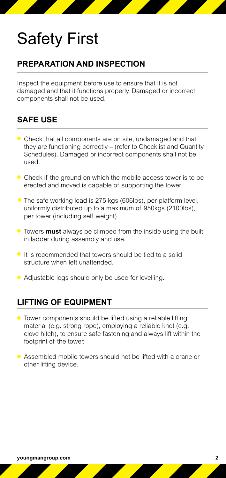#### **PREPARATION AND INSPECTION**

Inspect the equipment before use to ensure that it is not damaged and that it functions properly. Damaged or incorrect components shall not be used.

#### **SAFE USE**

- Check that all components are on site, undamaged and that they are functioning correctly – (refer to Checklist and Quantity Schedules). Damaged or incorrect components shall not be used.
- Check if the ground on which the mobile access tower is to be erected and moved is capable of supporting the tower.
- The safe working load is 275 kgs (606lbs), per platform level, uniformly distributed up to a maximum of 950kgs (2100lbs), per tower (including self weight).
- Towers **must** always be climbed from the inside using the built in ladder during assembly and use.
- $\bullet$  It is recommended that towers should be tied to a solid structure when left unattended.
- Adjustable legs should only be used for levelling.

#### **LIFTING OF EQUIPMENT**

- Tower components should be lifted using a reliable lifting material (e.g. strong rope), employing a reliable knot (e.g. clove hitch), to ensure safe fastening and always lift within the footprint of the tower.
- Assembled mobile towers should not be lifted with a crane or other lifting device.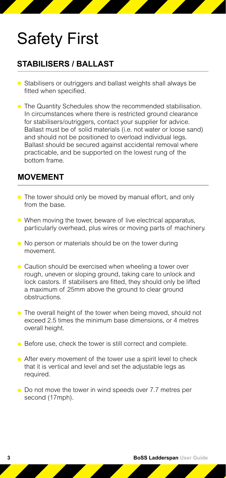#### **STABILISERS / BALLAST**

- Stabilisers or outriggers and ballast weights shall always be fitted when specified.
- **The Quantity Schedules show the recommended stabilisation.** In circumstances where there is restricted ground clearance for stabilisers/outriggers, contact your supplier for advice. Ballast must be of solid materials (i.e. not water or loose sand) and should not be positioned to overload individual legs. Ballast should be secured against accidental removal where practicable, and be supported on the lowest rung of the bottom frame.

#### **MOVEMENT**

- The tower should only be moved by manual effort, and only from the base.
- When moving the tower, beware of live electrical apparatus, particularly overhead, plus wires or moving parts of machinery.
- No person or materials should be on the tower during movement.
- Caution should be exercised when wheeling a tower over rough, uneven or sloping ground, taking care to unlock and lock castors. If stabilisers are fitted, they should only be lifted a maximum of 25mm above the ground to clear ground obstructions.
- The overall height of the tower when being moved, should not exceed 2.5 times the minimum base dimensions, or 4 metres overall height.
- Before use, check the tower is still correct and complete.
- After every movement of the tower use a spirit level to check that it is vertical and level and set the adjustable legs as required.
- Do not move the tower in wind speeds over 7.7 metres per second (17mph).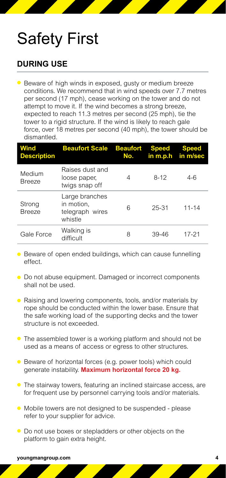#### **DURING USE**

● Beware of high winds in exposed, gusty or medium breeze conditions. We recommend that in wind speeds over 7.7 metres per second (17 mph), cease working on the tower and do not attempt to move it. If the wind becomes a strong breeze, expected to reach 11.3 metres per second (25 mph), tie the tower to a rigid structure. If the wind is likely to reach gale force, over 18 metres per second (40 mph), the tower should be dismantled.

| Wind<br><b>Description</b> | <b>Beaufort Scale Beaufort Speed</b>                       | No. |           | <b>Speed</b><br>in m.p.h in m/sec |
|----------------------------|------------------------------------------------------------|-----|-----------|-----------------------------------|
| Medium<br><b>Breeze</b>    | Raises dust and<br>loose paper,<br>twigs snap off          | 4   | $8-12$    | $4-6$                             |
| Strong<br><b>Breeze</b>    | Large branches<br>in motion.<br>telegraph wires<br>whistle | 6   | 25-31     | $11 - 14$                         |
| Gale Force                 | Walking is<br>difficult                                    | 8   | $39 - 46$ | 17-21                             |

- Beware of open ended buildings, which can cause funnelling effect.
- Do not abuse equipment. Damaged or incorrect components shall not be used.
- Raising and lowering components, tools, and/or materials by rope should be conducted within the lower base. Ensure that the safe working load of the supporting decks and the tower structure is not exceeded.
- The assembled tower is a working platform and should not be used as a means of access or egress to other structures.
- Beware of horizontal forces (e.g. power tools) which could generate instability. **Maximum horizontal force 20 kg.**
- The stairway towers, featuring an inclined staircase access, are for frequent use by personnel carrying tools and/or materials.
- Mobile towers are not designed to be suspended please refer to your supplier for advice.
- Do not use boxes or stepladders or other objects on the platform to gain extra height.

**youngmangroup.com**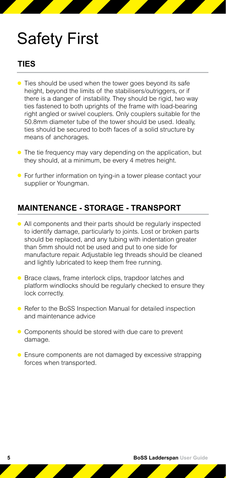#### **TIES**

- Ties should be used when the tower goes beyond its safe height, beyond the limits of the stabilisers/outriggers, or if there is a danger of instability. They should be rigid, two way ties fastened to both uprights of the frame with load-bearing right angled or swivel couplers. Only couplers suitable for the 50.8mm diameter tube of the tower should be used. Ideally, ties should be secured to both faces of a solid structure by means of anchorages.
- The tie frequency may vary depending on the application, but they should, at a minimum, be every 4 metres height.
- **•** For further information on tying-in a tower please contact your supplier or Youngman.

#### **MAINTENANCE - STORAGE - TRANSPORT**

- All components and their parts should be regularly inspected to identify damage, particularly to joints. Lost or broken parts should be replaced, and any tubing with indentation greater than 5mm should not be used and put to one side for manufacture repair. Adjustable leg threads should be cleaned and lightly lubricated to keep them free running.
- Brace claws, frame interlock clips, trapdoor latches and platform windlocks should be regularly checked to ensure they lock correctly.
- Refer to the BoSS Inspection Manual for detailed inspection and maintenance advice
- Components should be stored with due care to prevent damage.
- Ensure components are not damaged by excessive strapping forces when transported.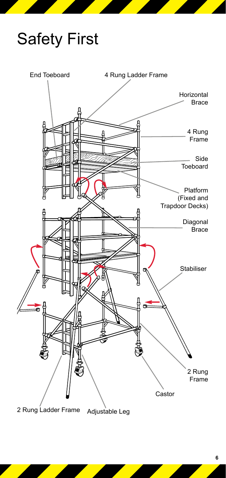

2 Rung Ladder Frame Adjustable Leg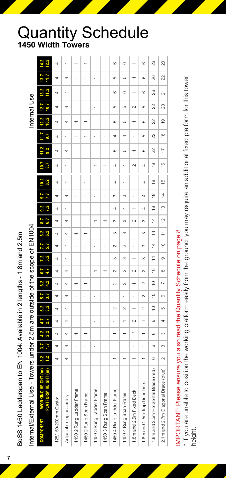|                          | Internal/External Use - Towers under 2.5m are outside of the scope of EN1004 |                      |                |                            |            |             |            |            |             |               |               |                |               |               |                         |                    |                         |                |                | Internal Use  |           |                |    |         |
|--------------------------|------------------------------------------------------------------------------|----------------------|----------------|----------------------------|------------|-------------|------------|------------|-------------|---------------|---------------|----------------|---------------|---------------|-------------------------|--------------------|-------------------------|----------------|----------------|---------------|-----------|----------------|----|---------|
| <b>LNENO4N02</b>         | <b>WORKING HEIGHT</b><br><b>PLATFORM HEIGH</b>                               | $1.2^{\circ}$<br>3.2 | 3.7<br>5.      | 4.2<br>2.2                 | 4.7<br>2.7 | 5.2<br>3.2  | 3.7<br>5.7 | 6.2<br>4.2 | 6.7<br>4.7  | 5.2<br>7.2    | 5.7<br>7.7    | 6.2<br>8.2     | 6.7<br>8.7    | 7.2<br>9.2    | Ĕ                       | 8.2                |                         | 9.2            |                | 12.2<br>10.2  | 12.7      | 11.2<br>13.2   |    | 12.2    |
| 125/150/200 mm Castor    |                                                                              | 4                    | 4              | 4                          | 4          | 4           | 4          | 4          | 4           | 4             | 4             | 4              | 4             | 4             | d                       |                    |                         | 4              | 4              | 4             | 4         |                | 4  |         |
| Adjustable leg assembly  |                                                                              | 4                    | 4              | 4                          | 4          | 4           | 4          | 4          | 4           | 4             | 4             | 4              | 4             | 4             | d                       | đ                  |                         | 4              | 4              | 4             | 4         | 4              | 4  | 4       |
| 1450 2 Rung Ladder Frame |                                                                              |                      |                |                            |            |             |            |            |             |               |               |                |               |               |                         |                    |                         |                |                |               |           |                |    |         |
| 1450 2 Rung Span Frame   |                                                                              |                      |                |                            |            |             |            |            |             |               |               |                |               |               |                         |                    |                         |                |                |               |           |                |    |         |
| 1450 3 Rung Ladder Frame |                                                                              |                      |                |                            |            |             |            |            |             |               |               |                |               |               |                         |                    |                         |                |                |               |           |                |    |         |
| 1450 3 Rung Span Frame   |                                                                              |                      |                |                            |            |             |            |            |             |               |               |                |               |               |                         |                    |                         |                |                |               |           |                |    |         |
| 1450 4 Rung Ladder Frame |                                                                              |                      |                |                            |            | $\sim$      |            | $\sim$     | $\sim$      | m             | $\sim$        | m              | $\sim$        | 4             | S                       |                    |                         | S              | 4              | Ю             | c         | $\circ$        | Ю  | $\circ$ |
| 1450 4 Rung Span Frame   |                                                                              |                      |                |                            |            | $\sim$      |            | $\sim$     | $\sim$      | m             | $\sim$        | m              | S             | 4             | m                       |                    |                         | S              | 4              | Ю             | c         | $\circ$        | c  | $\circ$ |
|                          | .8m and 2.5m Fixed Deck                                                      |                      |                | $\stackrel{*}{\leftarrow}$ | $\sim$     |             |            |            | $\sim$      |               |               |                | $\sim$        |               |                         |                    | $\sim$                  |                |                |               | $\sim$    |                |    |         |
|                          | .8m and 2.5m Trap Door Deck                                                  |                      | $\overline{ }$ | $\overline{ }$             |            | $\sim$      | $\sim$     | $\sim$     | $\sim$      | S             | S             | m              | 6             | 4             | 4                       | d                  |                         | Ю              | ယ              | Ю             | S         | $^{\circ}$     | G  | G       |
|                          | .8m and 2.5m Horizontal Brace (red)                                          | $^{\circ}$           | Ğ.             | Ö                          | Ö          | $\supseteq$ | $\cong$    | $\approx$  | $\supseteq$ | $\frac{4}{4}$ | $\frac{4}{4}$ | 14             | 14            | $\frac{8}{1}$ | $\frac{\infty}{\infty}$ | $\frac{\infty}{2}$ | $\frac{\infty}{\infty}$ | 22             | 22             | 22            | 22        | 26             | 26 | 8       |
|                          | 2.1m and 2.7m Diagonal Brace (blue)                                          | $\sim$               | S              | S                          | 4          | S           | $^{\circ}$ | N          | $\infty$    | o             | $\frac{1}{2}$ | $\overline{a}$ | $\frac{1}{2}$ | $\frac{3}{2}$ | $\overline{4}$          | $\frac{5}{1}$      | $\frac{6}{2}$           | $\overline{1}$ | $\frac{8}{10}$ | $\frac{1}{2}$ | $\approx$ | $\overline{5}$ | 22 | 23      |
|                          |                                                                              |                      |                |                            |            |             |            |            |             |               |               |                |               |               |                         |                    |                         |                |                |               |           |                |    |         |

MPORTANT: Please ensure you also read the Quantity Schedule on page 8. IMPORTANT: Please ensure you also read the Quantity Schedule on page 8.

\* If you are unable to position the working platform easily from the ground, you may require an additional fixed platform for this tower \* If you are unable to position the working platform easily from the ground, you may require an additional fixed platform for this tower height.

BoSS 1450 Ladderspan to EN 1004: Available in 2 lengths - 1.8m and 2.5m

BoSS 1450 Ladderspan to EN 1004: Available in 2 lengths - 1.8m and 2.5m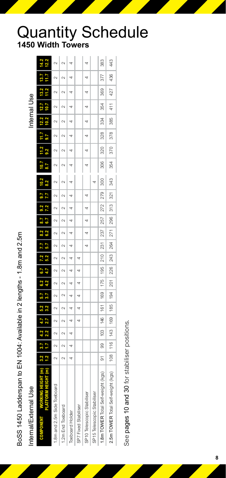BoSS 1450 Ladderspan to EN 1004: Available in 2 lengths - 1.8m and 2.5m

# Internal/External Use

| BoSS 1450 Ladderspan to EN 1004: Available in 2 lengths - 1.8m and 2.5m |                 |                     |     |        |                                                                                               |     |        |                                               |   |     |                |     |     |     |                 |        |              |        |     |     |        |
|-------------------------------------------------------------------------|-----------------|---------------------|-----|--------|-----------------------------------------------------------------------------------------------|-----|--------|-----------------------------------------------|---|-----|----------------|-----|-----|-----|-----------------|--------|--------------|--------|-----|-----|--------|
| Internal/External Use                                                   |                 |                     |     |        |                                                                                               |     |        |                                               |   |     |                |     |     |     |                 |        | Internal Use |        |     |     |        |
|                                                                         | $\overline{12}$ | $3.2$   $3.7$   4.2 |     |        | $4.7$   5.2   5.7   6.2   6.7   7.2   7.7   8.2   8.7   9.2   9.7   10.2  <br>$\frac{1}{3.2}$ |     |        | 4.2 4.7 5.2 5.7 6.2 6.7                       |   |     | 7.2   7.7      |     |     |     | $\frac{9.2}{2}$ |        |              |        |     |     | 12.2   |
| 1.8m and 2.5m Side Toeboard                                             | $\sim$          |                     |     | $\sim$ |                                                                                               |     | $\sim$ |                                               |   |     |                |     |     |     |                 |        |              | $\sim$ |     |     | $\sim$ |
| 1.2m End Toeboard                                                       | $\sim$          | $\sim$              |     |        |                                                                                               |     | $\sim$ |                                               |   |     |                |     |     |     |                 | $\sim$ |              | $\sim$ |     |     |        |
| Toeboard Holder                                                         | 4               | 4                   |     |        |                                                                                               | 4   | 4      |                                               | 4 |     |                |     |     |     |                 |        |              |        | 4   |     |        |
| SP7 Fixed Stabiliser                                                    |                 |                     |     |        |                                                                                               | 4   | 4      |                                               |   |     |                |     |     |     |                 |        |              |        |     |     |        |
| SP10 Telescopic Stabiliser                                              |                 |                     |     |        |                                                                                               |     |        |                                               | 4 |     | $\overline{a}$ | 4   |     |     |                 |        |              |        |     |     |        |
| SP15 Telescopic Stabiliser                                              |                 |                     |     |        |                                                                                               |     |        |                                               |   |     |                |     |     |     |                 |        |              |        |     |     |        |
| 1.8m TOWER Total Self-weight (kgs)                                      | $\overline{5}$  | 8                   | 103 | 146    | 161                                                                                           | 169 | 175    | $195$   210   231   237                       |   | 257 | 272            | 279 | 300 | 306 | 320             | 328    | 334          | 354    | 369 | 377 | 383    |
| 2.5m TOWER Total Self-weight (kgs)                                      |                 |                     |     |        | 108   116   143   169   185   194                                                             |     |        | 201   226   243   264   271   296   313   321 |   |     |                |     | 343 | 354 | 370             | 378    | 385          | 411    | 427 | 436 | 443    |
|                                                                         |                 |                     |     |        |                                                                                               |     |        |                                               |   |     |                |     |     |     |                 |        |              |        |     |     |        |

See pages 10 and 30 for stabiliser positions. See pages 10 and 30 for stabiliser positions.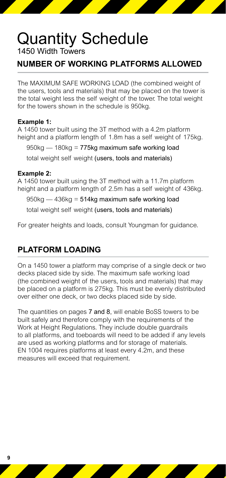#### **NUMBER OF WORKING PLATFORMS ALLOWED**

The MAXIMUM SAFE WORKING LOAD (the combined weight of the users, tools and materials) that may be placed on the tower is the total weight less the self weight of the tower. The total weight for the towers shown in the schedule is 950kg.

#### **Example 1:**

A 1450 tower built using the 3T method with a 4.2m platform height and a platform length of 1.8m has a self weight of 175kg.

 $950$ kg — 180kg = 775kg maximum safe working load total weight self weight (users, tools and materials)

#### **Example 2:**

A 1450 tower built using the 3T method with a 11.7m platform height and a platform length of 2.5m has a self weight of 436kg.

 $950$ kg —  $436$ kg =  $514$ kg maximum safe working load

total weight self weight (users, tools and materials)

For greater heights and loads, consult Youngman for guidance.

#### **PLATFORM LOADING**

On a 1450 tower a platform may comprise of a single deck or two decks placed side by side. The maximum safe working load (the combined weight of the users, tools and materials) that may be placed on a platform is 275kg. This must be evenly distributed over either one deck, or two decks placed side by side.

The quantities on pages 7 and 8, will enable BoSS towers to be built safely and therefore comply with the requirements of the Work at Height Regulations. They include double guardrails to all platforms, and toeboards will need to be added if any levels are used as working platforms and for storage of materials. EN 1004 requires platforms at least every 4.2m, and these measures will exceed that requirement.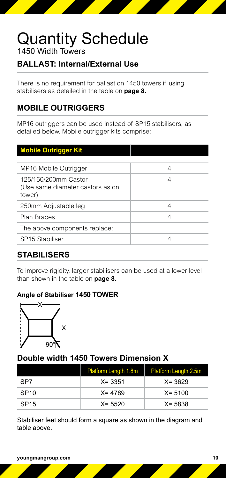#### **BALLAST: Internal/External Use**

There is no requirement for ballast on 1450 towers if using stabilisers as detailed in the table on **page 8.**

#### **MOBILE OUTRIGGERS**

MP16 outriggers can be used instead of SP15 stabilisers, as detailed below. Mobile outrigger kits comprise:

#### **Mobile Outrigger Kit** MP16 Mobile Outrigger 1997 MP16 Mobile Outrigger 125/150/200mm Castor (Use same diameter castors as on tower) 4 250mm Adjustable leg  $\vert$  4 Plan Braces 4 and 2008 The above components replace: SP15 Stabiliser 4

#### **STABILISERS**

To improve rigidity, larger stabilisers can be used at a lower level than shown in the table on **page 8.** 

#### **Angle of Stabiliser 1450 TOWER**



#### **Double width 1450 Towers Dimension X**

|                  | Platform Length 1.8m | Platform Length 2.5m |
|------------------|----------------------|----------------------|
| SP7              | $X = 3351$           | $X = 3629$           |
| SP <sub>10</sub> | $X = 4789$           | $X = 5100$           |
| SP <sub>15</sub> | $X = 5520$           | $X = 5838$           |

Stabiliser feet should form a square as shown in the diagram and table above.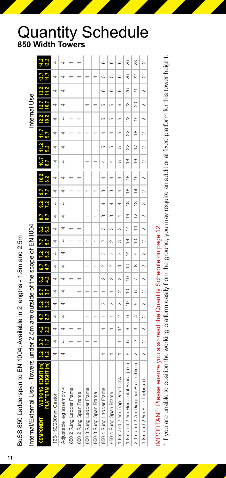| Internal/External Use - Towers under 2.5m are outside of the scope of EN1004 |            |        |                            |            |            |           |                |                |                |                          |                |                |               |                                  |                         |                |               | Internal Use |        |         |                          |               |
|------------------------------------------------------------------------------|------------|--------|----------------------------|------------|------------|-----------|----------------|----------------|----------------|--------------------------|----------------|----------------|---------------|----------------------------------|-------------------------|----------------|---------------|--------------|--------|---------|--------------------------|---------------|
| <b>THE CHI</b><br><b>LATFOR</b><br><b>LNEMPONENT</b>                         | 3.2        | 3.7    | 2.2                        |            | 3.2<br>5.2 |           | 6.2<br>4.2     |                | 15.2<br>7.2    | ì                        | 6.2            |                | 9.2           |                                  |                         | $\frac{2}{3}$  |               |              |        |         |                          |               |
| 125/150/200mm Castor                                                         | 4          | 4      | 4                          | 4          | 4          | 4         | 4              | 4              | 4              | 4                        | 4              | 4              | 4             | 4<br>4                           | 4                       | 4              | 4             | 4            | 4      | 4       | 4                        | 4             |
| Adjustable leg assembly 4                                                    | 4          | 4      | 4                          | 4          | 4          | 4         | 4              | 4              | 4              | 4                        | 4              | 4              | 4             | d                                | đ                       | 4              | 4             | 4            | 4      | 4       |                          | 4             |
| 850 2 Rung Ladder Frame                                                      |            |        |                            |            |            |           |                |                |                |                          |                |                |               |                                  |                         |                |               |              |        |         |                          |               |
| 850 2 Rung Span Frame                                                        |            |        |                            |            |            |           |                |                |                |                          |                |                |               |                                  |                         |                |               |              |        |         |                          |               |
| 850 3 Rung Ladder Frame                                                      |            |        |                            |            |            |           |                | $\overline{ }$ |                |                          |                | $\overline{ }$ |               |                                  |                         |                |               |              |        |         |                          |               |
| 850 3 Rung Span Frame                                                        |            |        |                            |            |            |           |                |                |                |                          |                |                |               |                                  |                         |                |               |              |        |         |                          |               |
| 850 4 Rung Ladder Frame                                                      |            |        | <sup>-</sup>               |            | $\sim$     |           | $\sim$         | $\sim$         | m              | $\overline{\mathcal{C}}$ | 3              | 3              | 4             | m                                |                         | Ю              | 4             | Ю            | Ю      | $\circ$ | Ю                        | $\circ$       |
| 850 4 Rung Span Frame                                                        |            |        | $\ddot{}$                  |            | $\sim$     |           | $\sim$         | $\sim$         | ო              | $\sim$                   | 3              | S              | 4             | 3                                |                         | 5              | 4             | Ю            | Ю      | $\circ$ | Ю                        | $\circ$       |
| 1.8m and 2.5m Trap Door Deck                                                 |            |        | $\stackrel{*}{\leftarrow}$ | $\sim$     | $\sim$     | $\sim$    | $\sim$         | S              | 3              | S                        | S              | 4              | 4             | 4<br>4                           | Ю                       | 40             | Ю             | LO           | Ô      | $\circ$ | Ğ                        | $\circ$       |
| I.8m and 2.5m Horizontal Brace (red)                                         | $^{\circ}$ | 6      | 6                          | $^{\circ}$ | $\approx$  | $\approx$ | $\approx$      | $\approx$      | $\overline{4}$ | $\overline{4}$           | $\overline{4}$ | $\overline{4}$ | $\frac{8}{2}$ | $\frac{8}{1}$<br>$\frac{8}{2}$   | $\frac{8}{1}$           | 22             | $\approx$     | 22           | 22     | 26      | 26                       | $\frac{8}{2}$ |
| 2.1m and 2.7m Diagonal Brace (blue)                                          | $\sim$     | S      | S                          | 4          | LO         | 6         | $\overline{ }$ | ∞              | $\circ$        | $\cong$                  | $\overline{1}$ | $\tilde{c}$    | $\frac{3}{2}$ | $\frac{15}{2}$<br>$\overline{4}$ | $\frac{6}{2}$           | $\overline{1}$ | $\frac{8}{1}$ | é,           | 20     | 21      | 22                       | 23            |
| 1.8m and 2.5m Side Toeboard                                                  | $\sim$     | $\sim$ | $\sim$                     | $\sim$     | $\sim$     | $\sim$    | $\sim$         | $\sim$         | $\sim$         | $\sim$                   | $\sim$         | $\sim$         | $\sim$        | $\sim$<br>$\sim$                 | $\overline{\mathsf{N}}$ | $\sim$         | $\sim$        | $\sim$       | $\sim$ | $\sim$  | $\overline{\mathcal{C}}$ | $\sim$        |
|                                                                              |            |        |                            |            |            |           |                |                |                |                          |                |                |               |                                  |                         |                |               |              |        |         |                          |               |

MPORTANT: Please ensure you also read the Quantity Schedule on page 12. IMPORTANT: Please ensure you also read the Quantity Schedule on page 12.

\* If you are unable to position the working platform easily from the ground, you may require an additional fixed platform for this tower height. \* If you are unable to position the working platform easily from the ground, you may require an additional fixed platform for this tower height.

BoSS 850 Ladderspan to EN 1004: Available in 2 lengths - 1.8m and 2.5m

BoSS 850 Ladderspan to EN 1004: Available in 2 lengths - 1.8m and 2.5m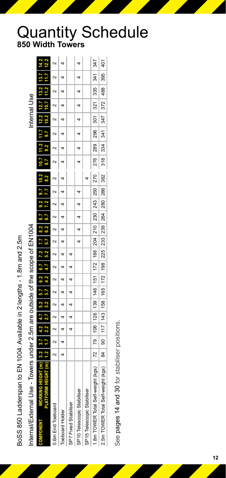BoSS 850 Ladderspan to EN 1004: Available in 2 lengths - 1.8m and 2.5m BoSS 850 Ladderspan to EN 1004: Available in 2 lengths - 1.8m and 2.5m

| ֘֒<br>֚֘                                       |
|------------------------------------------------|
| ׇ֚֕֡֡                                          |
|                                                |
|                                                |
|                                                |
|                                                |
|                                                |
|                                                |
|                                                |
|                                                |
|                                                |
|                                                |
|                                                |
| ֚֚֚֡<br>ׇ֚֓                                    |
|                                                |
|                                                |
|                                                |
|                                                |
| l<br>I<br>ׇ֬֘֡<br>l                            |
| ֕                                              |
| ׇ֖֖֚֚֚֚֚֡֝                                     |
| I                                              |
| ,<br>֘֒                                        |
| ֖֖֪ׅ֖֧ׅ֪ׅ֖֧֚֚֚֚֚֚֚֚֚֚֚֚֚֚֚֚֚֚֚֚֚֚֚֚֚֡֝֝֝֝֝֝֝֓֬ |
| l<br>l                                         |
| nte                                            |
|                                                |

|                                    | HEIGHT (m) 3.2   3.7   4.2   4.7   5.2   5.7   6.2   6.7   7.2   7.7   8.2   8.7   9.2   9.7   10.2   10.7   11.2   11.7   12.2   13.2  <br>HEIGHT(m) 1.2  1.7  2.2  2.7  3.2  3.7  4.2  4.7  5.2  5.7  6.2  6.7  7.2  7.7   8.2   8.7   9.2   9.7   10.2   10.7   11.2 |               |  |                |                                                                                       |  |                   |             |  |  |             |                             |                |                |     |     |     |
|------------------------------------|-------------------------------------------------------------------------------------------------------------------------------------------------------------------------------------------------------------------------------------------------------------------------|---------------|--|----------------|---------------------------------------------------------------------------------------|--|-------------------|-------------|--|--|-------------|-----------------------------|----------------|----------------|-----|-----|-----|
| 0.6m End Toeboard                  |                                                                                                                                                                                                                                                                         | $\frac{2}{3}$ |  |                | 2   2   2   2   2                                                                     |  | 2   2   2   2   2 |             |  |  |             |                             |                |                |     |     |     |
| <b>Toeboard Holder</b>             |                                                                                                                                                                                                                                                                         |               |  |                |                                                                                       |  |                   |             |  |  |             |                             |                |                |     |     |     |
| SP7 Fixed Stabiliser               |                                                                                                                                                                                                                                                                         |               |  | $\overline{a}$ |                                                                                       |  |                   |             |  |  |             |                             |                |                |     |     |     |
| SP10 Telescopic Stabiliser         |                                                                                                                                                                                                                                                                         |               |  |                |                                                                                       |  |                   | $4$ 4 4 4 4 |  |  |             | $4 \quad 4 \quad 4$         | $\overline{4}$ |                |     |     |     |
| SP15 Telescopic Stabiliser         |                                                                                                                                                                                                                                                                         |               |  |                |                                                                                       |  |                   |             |  |  |             |                             |                |                |     |     |     |
| 1.8m TOWER Total Self-weight (kgs) |                                                                                                                                                                                                                                                                         |               |  |                | 72   79   106   126   139   146   151   172   186   204   210   230   243   250   270 |  |                   |             |  |  | 276 289 296 |                             | 301            | $\frac{32}{1}$ | 335 | 341 | 347 |
| 2.5m TOWER Total Self-weight (kgs) |                                                                                                                                                                                                                                                                         |               |  |                | 84   90   117   143   158   165   172   198   225   233   239   264   280   286   382 |  |                   |             |  |  |             | 318 334 341 347 372 488 395 |                |                |     |     | 401 |
|                                    |                                                                                                                                                                                                                                                                         |               |  |                |                                                                                       |  |                   |             |  |  |             |                             |                |                |     |     |     |

See pages 14 and 30 for stabiliser positions. See pages 14 and 30 for stabiliser positions.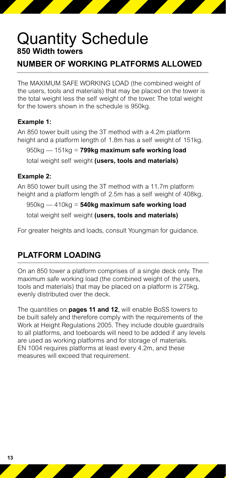#### **NUMBER OF WORKING PLATFORMS ALLOWED**

The MAXIMUM SAFE WORKING LOAD (the combined weight of the users, tools and materials) that may be placed on the tower is the total weight less the self weight of the tower. The total weight for the towers shown in the schedule is 950kg.

#### **Example 1:**

An 850 tower built using the 3T method with a 4.2m platform height and a platform length of 1.8m has a self weight of 151kg.

 950kg — 151kg = **799kg maximum safe working load** total weight self weight **(users, tools and materials)**

#### **Example 2:**

An 850 tower built using the 3T method with a 11.7m platform height and a platform length of 2.5m has a self weight of 408kg.

 950kg — 410kg = **540kg maximum safe working load** total weight self weight **(users, tools and materials)**

For greater heights and loads, consult Youngman for guidance.

#### **PLATFORM LOADING**

On an 850 tower a platform comprises of a single deck only. The maximum safe working load (the combined weight of the users, tools and materials) that may be placed on a platform is 275kg, evenly distributed over the deck.

The quantities on **pages 11 and 12**, will enable BoSS towers to be built safely and therefore comply with the requirements of the Work at Height Regulations 2005. They include double guardrails to all platforms, and toeboards will need to be added if any levels are used as working platforms and for storage of materials. EN 1004 requires platforms at least every 4.2m, and these measures will exceed that requirement.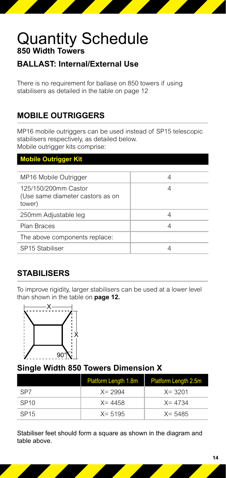#### **BALLAST: Internal/External Use**

There is no requirement for ballase on 850 towers if using stabilisers as detailed in the table on page 12

#### **MOBILE OUTRIGGERS**

MP16 mobile outriggers can be used instead of SP15 telescopic stabilisers respectively, as detailed below. Mobile outrigger kits comprise:

| <b>Mobile Outrigger Kit</b>                                        |   |
|--------------------------------------------------------------------|---|
|                                                                    |   |
| MP16 Mobile Outrigger                                              | 4 |
| 125/150/200mm Castor<br>(Use same diameter castors as on<br>tower) | 4 |
| 250mm Adjustable leg                                               | 4 |
| Plan Braces                                                        | 4 |
| The above components replace:                                      |   |
| SP15 Stabiliser                                                    |   |

#### **STABILISERS**

To improve rigidity, larger stabilisers can be used at a lower level than shown in the table on **page 12.**



#### **Single Width 850 Towers Dimension X**

|                  | <b>Platform Length 1.8m</b> | <b>Platform Length 2.5m</b> |
|------------------|-----------------------------|-----------------------------|
| SP <sub>7</sub>  | $X = 2994$                  | $X = 3201$                  |
| SP <sub>10</sub> | $X = 4458$                  | $X = 4734$                  |
| SP <sub>15</sub> | $X = 5195$                  | $X = 5485$                  |

Stabiliser feet should form a square as shown in the diagram and table above.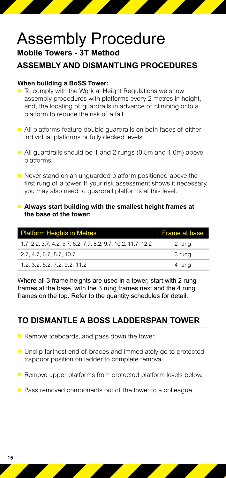## Assembly Procedure **Mobile Towers - 3T Method**

#### **ASSEMBLY AND DISMANTLING PROCEDURES**

#### **When building a BoSS Tower:**

- To comply with the Work at Height Regulations we show assembly procedures with platforms every 2 metres in height, and, the locating of guardrails in advance of climbing onto a platform to reduce the risk of a fall.
- All platforms feature double guardrails on both faces of either individual platforms or fully decked levels.
- All guardrails should be 1 and 2 rungs (0.5m and 1.0m) above platforms.
- Never stand on an unguarded platform positioned above the first rung of a tower. If your risk assessment shows it necessary, you may also need to guardrail platforms at this level.
- **Always start building with the smallest height frames at the base of the tower:**

| <b>Platform Heights in Metres</b>                             | Frame at base |
|---------------------------------------------------------------|---------------|
| 1.7, 2.2, 3.7, 4.2, 5.7, 6.2, 7.7, 8.2, 9.7, 10.2, 11.7, 12.2 | 2 rung        |
| 2.7, 4.7, 6.7, 8.7, 10.7                                      | 3 rung        |
| 1.2, 3.2, 5.2, 7.2, 9.2, 11.2                                 | 4 rung        |

Where all 3 frame heights are used in a tower, start with 2 rung frames at the base, with the 3 rung frames next and the 4 rung frames on the top. Refer to the quantity schedules for detail.

#### **TO DISMANTLE A BOSS Ladderspan TOWER**

- Remove toeboards, and pass down the tower.
- Unclip farthest end of braces and immediately go to protected trapdoor position on ladder to complete removal.
- Remove upper platforms from protected platform levels below.
- Pass removed components out of the tower to a colleague.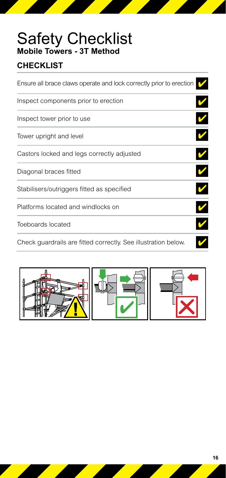## Safety Checklist **Mobile Towers - 3T Method**

#### **CHECKLIST**

| Ensure all brace claws operate and lock correctly prior to erection |  |
|---------------------------------------------------------------------|--|
| Inspect components prior to erection                                |  |
| Inspect tower prior to use                                          |  |
| Tower upright and level                                             |  |
| Castors locked and legs correctly adjusted                          |  |
| Diagonal braces fitted                                              |  |
| Stabilisers/outriggers fitted as specified                          |  |
| Platforms located and windlocks on                                  |  |
| Toeboards located                                                   |  |
| Check guardrails are fitted correctly. See illustration below.      |  |

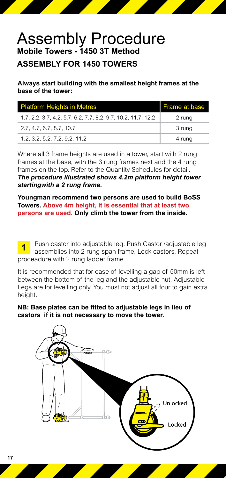## Assembly Procedure **Mobile Towers - 1450 3T Method**

#### **ASSEMBLY FOR 1450 TOWERS**

**Always start building with the smallest height frames at the base of the tower:**

| <b>Platform Heights in Metres</b>                             | Frame at base |
|---------------------------------------------------------------|---------------|
| 1.7, 2.2, 3.7, 4.2, 5.7, 6.2, 7.7, 8.2, 9.7, 10.2, 11.7, 12.2 | 2 rung        |
| 2.7, 4.7, 6.7, 8.7, 10.7                                      | 3 rung        |
| 1.2, 3.2, 5.2, 7.2, 9.2, 11.2                                 | 4 rung        |

Where all 3 frame heights are used in a tower, start with 2 rung frames at the base, with the 3 rung frames next and the 4 rung frames on the top. Refer to the Quantity Schedules for detail.

*The procedure illustrated shows 4.2m platform height tower startingwith a 2 rung frame.*

**Youngman recommend two persons are used to build BoSS Towers. Above 4m height, it is essential that at least two persons are used. Only climb the tower from the inside.**

**1** Push castor into adjustable leg. Push Castor /adjustable leg assemblies into 2 rung span frame. Lock castors. Repeat proceadure with 2 rung ladder frame.

It is recommended that for ease of levelling a gap of 50mm is left between the bottom of the leg and the adjustable nut. Adjustable Legs are for levelling only. You must not adjust all four to gain extra height.

#### **NB: Base plates can be fitted to adjustable legs in lieu of castors if it is not necessary to move the tower.**

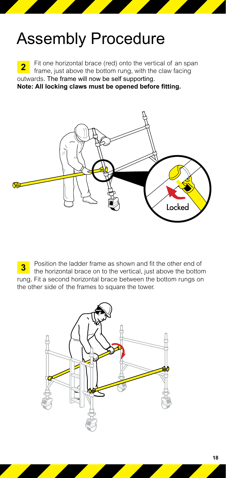**2** Fit one horizontal brace (red) onto the vertical of an span frame, just above the bottom rung, with the claw facing outwards. The frame will now be self supporting. **Note: All locking claws must be opened before fitting.** 



**3** Position the ladder frame as shown and fit the other end of the horizontal brace on to the vertical, just above the bottom rung. Fit a second horizontal brace between the bottom rungs on the other side of the frames to square the tower.

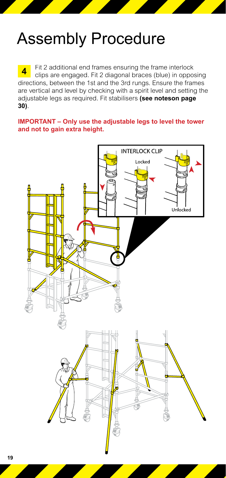**4** Fit 2 additional end frames ensuring the frame interlock clips are engaged. Fit 2 diagonal braces (blue) in opposing directions, between the 1st and the 3rd rungs. Ensure the frames are vertical and level by checking with a spirit level and setting the adjustable legs as required. Fit stabilisers **(see noteson page 30)**.

#### **IMPORTANT – Only use the adjustable legs to level the tower and not to gain extra height.**

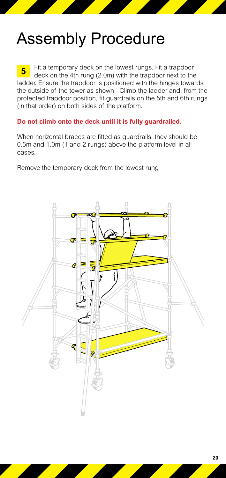**5** Fit a temporary deck on the lowest rungs. Fit a trapdoor deck on the 4th rung (2.0m) with the trapdoor next to the ladder. Ensure the trapdoor is positioned with the hinges towards the outside of the tower as shown. Climb the ladder and, from the protected trapdoor position, fit guardrails on the 5th and 6th rungs (in that order) on both sides of the platform.

#### **Do not climb onto the deck until it is fully guardrailed.**

When horizontal braces are fitted as guardrails, they should be 0.5m and 1.0m (1 and 2 rungs) above the platform level in all cases.

Remove the temporary deck from the lowest rung

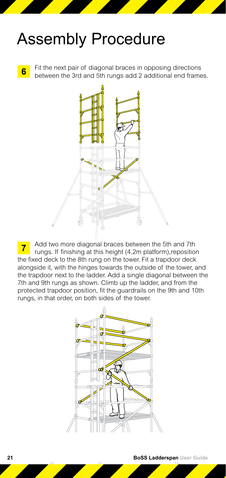**6** Fit the next pair of diagonal braces in opposing directions between the 3rd and 5th rungs add 2 additional end frames.



**7** Add two more diagonal braces between the 5th and 7th rungs. If finishing at this height (4.2m platform),reposition the fixed deck to the 8th rung on the tower. Fit a trapdoor deck alongside it, with the hinges towards the outside of the tower, and the trapdoor next to the ladder. Add a single diagonal between the 7th and 9th rungs as shown. Climb up the ladder, and from the protected trapdoor position, fit the guardrails on the 9th and 10th rungs, in that order, on both sides of the tower.

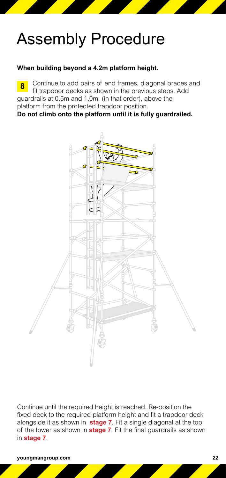#### **When building beyond a 4.2m platform height.**

Continue to add pairs of end frames, diagonal braces and fit trapdoor decks as shown in the previous steps. Add guardrails at 0.5m and 1.0m, (in that order), above the platform from the protected trapdoor position. **Do not climb onto the platform until it is fully guardrailed. 8**



Continue until the required height is reached. Re-position the fixed deck to the required platform height and fit a trapdoor deck alongside it as shown in **stage 7**. Fit a single diagonal at the top of the tower as shown in **stage 7**. Fit the final guardrails as shown in **stage 7**.

**youngmangroup.com 22**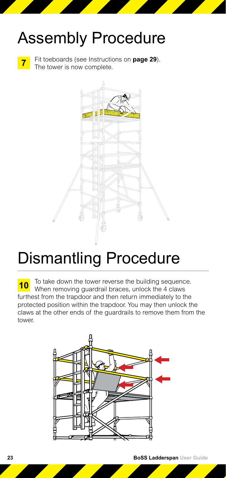

**7** Fit toeboards (see Instructions on **page 29**).<br>The tower is now complete.



# Dismantling Procedure

**10** To take down the tower reverse the building sequence.<br>When removing guardrail braces, unlock the 4 claws furthest from the trapdoor and then return immediately to the protected position within the trapdoor. You may then unlock the claws at the other ends of the guardrails to remove them from the tower.

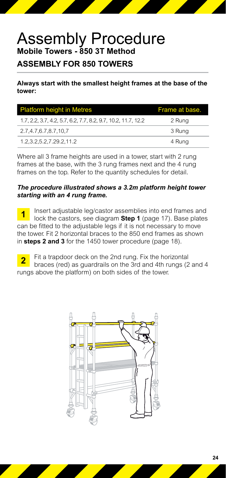## Assembly Procedure **Mobile Towers - 850 3T Method**

#### **ASSEMBLY FOR 850 TOWERS**

**Always start with the smallest height frames at the base of the tower:**

| <b>Platform height in Metres</b>                              | Frame at base. |
|---------------------------------------------------------------|----------------|
| 1.7, 2.2, 3.7, 4.2, 5.7, 6.2, 7.7, 8.2, 9.7, 10.2, 11.7, 12.2 | 2 Rung         |
| 2.7,4.7,6.7,8.7,10,7                                          | 3 Rung         |
| 1.2,3.2,5.2,7.29.2,11.2                                       | 4 Rung         |

Where all 3 frame heights are used in a tower, start with 2 rung frames at the base, with the 3 rung frames next and the 4 rung frames on the top. Refer to the quantity schedules for detail.

#### *The procedure illustrated shows a 3.2m platform height tower starting with an 4 rung frame.*

**1** Insert adjustable leg/castor assemblies into end frames and lock the castors, see diagram **Step 1** (page 17). Base plates can be fitted to the adjustable legs if it is not necessary to move the tower. Fit 2 horizontal braces to the 850 end frames as shown in **steps 2 and 3** for the 1450 tower procedure (page 18).

**2** Fit a trapdoor deck on the 2nd rung. Fix the horizontal braces (red) as guardrails on the 3rd and 4th rungs (2 and 4 rungs above the platform) on both sides of the tower.

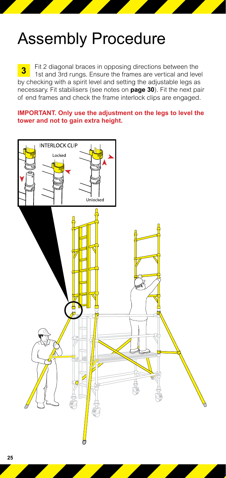**3** Fit 2 diagonal braces in opposing directions between the 1st and 3rd rungs. Ensure the frames are vertical and level by checking with a spirit level and setting the adjustable legs as necessary. Fit stabilisers (see notes on **page 30**). Fit the next pair of end frames and check the frame interlock clips are engaged.

**IMPORTANT. Only use the adjustment on the legs to level the tower and not to gain extra height.**

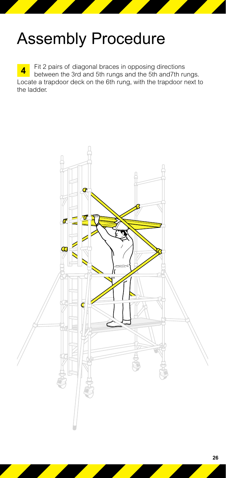**4** Fit 2 pairs of diagonal braces in opposing directions between the 3rd and 5th rungs. Locate a trapdoor deck on the 6th rung, with the trapdoor next to the ladder.

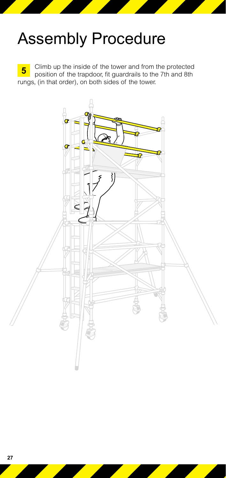**5** Climb up the inside of the tower and from the protected position of the trapdoor, fit guardrails to the 7th and 8th rungs, (in that order), on both sides of the tower.

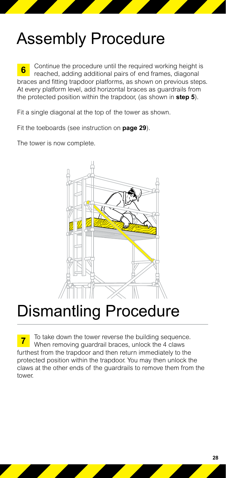**6** Continue the procedure until the required working height is reached, adding additional pairs of end frames, diagonal braces and fitting trapdoor platforms, as shown on previous steps. At every platform level, add horizontal braces as guardrails from the protected position within the trapdoor, (as shown in **step 5**).

Fit a single diagonal at the top of the tower as shown.

Fit the toeboards (see instruction on **page 29**).

The tower is now complete.



## Dismantling Procedure

**7** To take down the tower reverse the building sequence. When removing guardrail braces, unlock the 4 claws furthest from the trapdoor and then return immediately to the protected position within the trapdoor. You may then unlock the claws at the other ends of the guardrails to remove them from the tower.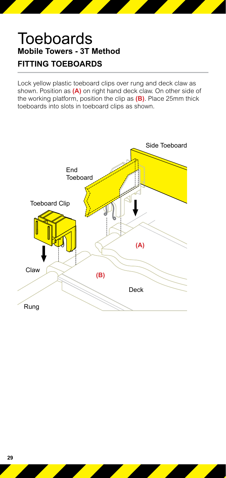## **Toeboards Mobile Towers - 3T Method FITTING TOEBOARDS**

Lock yellow plastic toeboard clips over rung and deck claw as shown. Position as **(A)** on right hand deck claw. On other side of the working platform, position the clip as **(B)**. Place 25mm thick toeboards into slots in toeboard clips as shown.

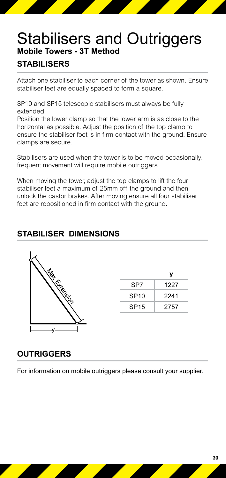## Stabilisers and Outriggers **Mobile Towers - 3T Method**

#### **STABILISERS**

Attach one stabiliser to each corner of the tower as shown. Ensure stabiliser feet are equally spaced to form a square.

SP10 and SP15 telescopic stabilisers must always be fully extended.

Position the lower clamp so that the lower arm is as close to the horizontal as possible. Adjust the position of the top clamp to ensure the stabiliser foot is in firm contact with the ground. Ensure clamps are secure.

Stabilisers are used when the tower is to be moved occasionally, frequent movement will require mobile outriggers.

When moving the tower, adjust the top clamps to lift the four stabiliser feet a maximum of 25mm off the ground and then unlock the castor brakes. After moving ensure all four stabiliser feet are repositioned in firm contact with the ground.

#### **STABILISER DIMENSIONS**



|                  | v    |
|------------------|------|
| SP7              | 1227 |
| SP <sub>10</sub> | 2241 |
| <b>SP15</b>      | 2757 |

#### **OUTRIGGERS**

For information on mobile outriggers please consult your supplier.